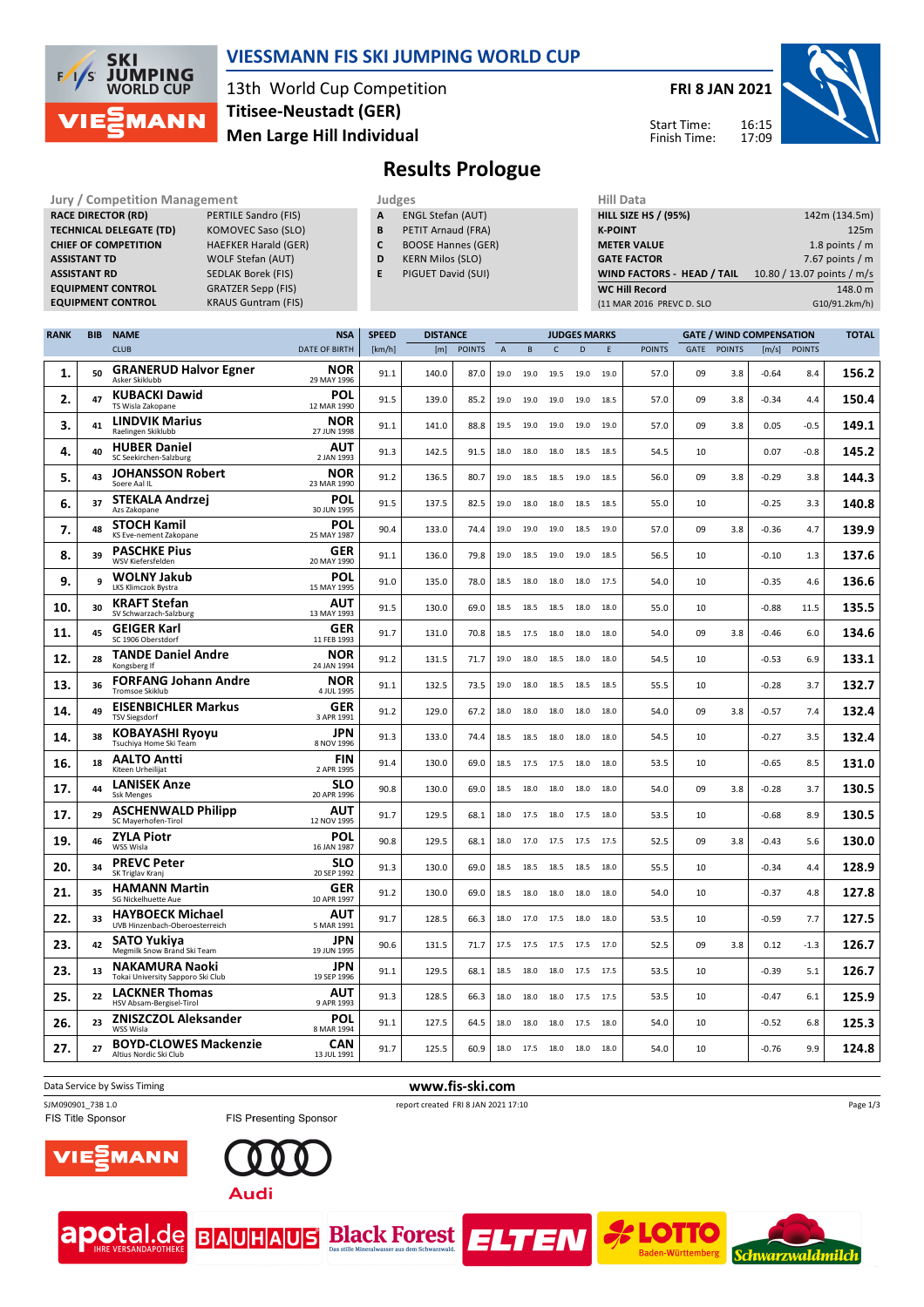

### **VIESSMANN FIS SKI JUMPING WORLD CUP**

13th World Cup Competition **Men Large Hill Individual Titisee-Neustadt (GER)**

**FRI 8 JAN 2021**

Start Time: Finish Time:



**Results Prologue**

| Jury / Competition Management  |                             |   | Judges                    | Hill Data                   |                            |
|--------------------------------|-----------------------------|---|---------------------------|-----------------------------|----------------------------|
| <b>RACE DIRECTOR (RD)</b>      | PERTILE Sandro (FIS)        | A | <b>ENGL Stefan (AUT)</b>  | <b>HILL SIZE HS / (95%)</b> | 142m (134.5m)              |
| <b>TECHNICAL DELEGATE (TD)</b> | KOMOVEC Saso (SLO)          | в | PETIT Arnaud (FRA)        | <b>K-POINT</b>              | 125m                       |
| <b>CHIEF OF COMPETITION</b>    | <b>HAEFKER Harald (GER)</b> |   | <b>BOOSE Hannes (GER)</b> | <b>METER VALUE</b>          | 1.8 points $/m$            |
| <b>ASSISTANT TD</b>            | WOLF Stefan (AUT)           | D | <b>KERN Milos (SLO)</b>   | <b>GATE FACTOR</b>          | 7.67 points $/m$           |
| <b>ASSISTANT RD</b>            | SEDLAK Borek (FIS)          |   | PIGUET David (SUI)        | WIND FACTORS - HEAD / TAIL  | 10.80 / 13.07 points / m/s |
| <b>EQUIPMENT CONTROL</b>       | <b>GRATZER Sepp (FIS)</b>   |   |                           | <b>WC Hill Record</b>       | 148.0 m                    |
| <b>EQUIPMENT CONTROL</b>       | <b>KRAUS Guntram (FIS)</b>  |   |                           | (11 MAR 2016 PREVC D. SLO   | G10/91.2km/h)              |

| <b>RANK</b> | <b>BIB</b> | <b>NAME</b>                                                | <b>NSA</b>                | <b>SPEED</b> | <b>DISTANCE</b> |               |                |           |              | <b>JUDGES MARKS</b> |      | <b>GATE / WIND COMPENSATION</b> |      |               |         | <b>TOTAL</b>  |       |
|-------------|------------|------------------------------------------------------------|---------------------------|--------------|-----------------|---------------|----------------|-----------|--------------|---------------------|------|---------------------------------|------|---------------|---------|---------------|-------|
|             |            | <b>CLUB</b>                                                | <b>DATE OF BIRTH</b>      | [km/h]       | [m]             | <b>POINTS</b> | $\overline{A}$ | B         | $\mathsf{C}$ | D                   | E    | <b>POINTS</b>                   | GATE | <b>POINTS</b> | [m/s]   | <b>POINTS</b> |       |
| 1.          | 50         | <b>GRANERUD Halvor Egner</b><br>Asker Skiklubb             | <b>NOR</b><br>29 MAY 1996 | 91.1         | 140.0           | 87.0          | 19.0           | 19.0      | 19.5         | 19.0                | 19.0 | 57.0                            | 09   | 3.8           | $-0.64$ | 8.4           | 156.2 |
| 2.          | 47         | <b>KUBACKI Dawid</b><br>TS Wisla Zakopane                  | POL<br>12 MAR 1990        | 91.5         | 139.0           | 85.2          | 19.0           | 19.0      | 19.0         | 19.0                | 18.5 | 57.0                            | 09   | 3.8           | $-0.34$ | 4.4           | 150.4 |
| З.          | 41         | <b>LINDVIK Marius</b><br>Raelingen Skiklubb                | NOR<br>27 JUN 1998        | 91.1         | 141.0           | 88.8          | 19.5           | 19.0      | 19.0         | 19.0                | 19.0 | 57.0                            | 09   | 3.8           | 0.05    | $-0.5$        | 149.1 |
| 4.          | 40         | <b>HUBER Daniel</b><br>SC Seekirchen-Salzburg              | <b>AUT</b><br>2 JAN 1993  | 91.3         | 142.5           | 91.5          | 18.0           | 18.0      | 18.0         | 18.5                | 18.5 | 54.5                            | 10   |               | 0.07    | $-0.8$        | 145.2 |
| 5.          | 43         | <b>JOHANSSON Robert</b><br>Soere Aal IL                    | NOR<br>23 MAR 1990        | 91.2         | 136.5           | 80.7          | 19.0           | 18.5      | 18.5         | 19.0                | 18.5 | 56.0                            | 09   | 3.8           | $-0.29$ | 3.8           | 144.3 |
| 6.          | 37         | STEKALA Andrzej<br>Azs Zakopane                            | POL<br>30 JUN 1995        | 91.5         | 137.5           | 82.5          | 19.0           | 18.0      | 18.0         | 18.5                | 18.5 | 55.0                            | 10   |               | $-0.25$ | 3.3           | 140.8 |
| 7.          | 48         | <b>STOCH Kamil</b><br>KS Eve-nement Zakopane               | POL<br>25 MAY 1987        | 90.4         | 133.0           | 74.4          | 19.0           | 19.0      | 19.0         | 18.5                | 19.0 | 57.0                            | 09   | 3.8           | $-0.36$ | 4.7           | 139.9 |
| 8.          | 39         | <b>PASCHKE Pius</b><br>WSV Kiefersfelden                   | <b>GER</b><br>20 MAY 1990 | 91.1         | 136.0           | 79.8          | 19.0           | 18.5      | 19.0         | 19.0                | 18.5 | 56.5                            | 10   |               | $-0.10$ | $1.3$         | 137.6 |
| 9.          | 9          | <b>WOLNY Jakub</b><br>LKS Klimczok Bystra                  | POL<br>15 MAY 1995        | 91.0         | 135.0           | 78.0          | 18.5           | 18.0      | 18.0         | 18.0                | 17.5 | 54.0                            | 10   |               | $-0.35$ | 4.6           | 136.6 |
| 10.         | 30         | <b>KRAFT Stefan</b><br>SV Schwarzach-Salzburg              | AUT<br>13 MAY 1993        | 91.5         | 130.0           | 69.0          | 18.5           | 18.5      | 18.5         | 18.0                | 18.0 | 55.0                            | 10   |               | $-0.88$ | 11.5          | 135.5 |
| 11.         | 45         | <b>GEIGER Karl</b><br>SC 1906 Oberstdorf                   | <b>GER</b><br>11 FEB 1993 | 91.7         | 131.0           | 70.8          | 18.5           | 17.5      | 18.0         | 18.0                | 18.0 | 54.0                            | 09   | 3.8           | $-0.46$ | 6.0           | 134.6 |
| 12.         | 28         | <b>TANDE Daniel Andre</b><br>Kongsberg If                  | NOR<br>24 JAN 1994        | 91.2         | 131.5           | 71.7          | 19.0           | 18.0      | 18.5         | 18.0                | 18.0 | 54.5                            | 10   |               | $-0.53$ | 6.9           | 133.1 |
| 13.         | 36         | <b>FORFANG Johann Andre</b><br><b>Tromsoe Skiklub</b>      | <b>NOR</b><br>4 JUL 1995  | 91.1         | 132.5           | 73.5          | 19.0           | 18.0      | 18.5         | 18.5                | 18.5 | 55.5                            | 10   |               | $-0.28$ | 3.7           | 132.7 |
| 14.         | 49         | <b>EISENBICHLER Markus</b><br><b>TSV Siegsdorf</b>         | <b>GER</b><br>3 APR 1991  | 91.2         | 129.0           | 67.2          | 18.0           | 18.0      | 18.0         | 18.0                | 18.0 | 54.0                            | 09   | 3.8           | $-0.57$ | 7.4           | 132.4 |
| 14.         | 38         | <b>KOBAYASHI Ryoyu</b><br>Tsuchiya Home Ski Team           | <b>JPN</b><br>8 NOV 1996  | 91.3         | 133.0           | 74.4          | 18.5           | 18.5      | 18.0         | 18.0                | 18.0 | 54.5                            | 10   |               | $-0.27$ | 3.5           | 132.4 |
| 16.         | 18         | <b>AALTO Antti</b><br>Kiteen Urheilijat                    | FIN<br>2 APR 1995         | 91.4         | 130.0           | 69.0          | 18.5           | 17.5      | 17.5         | 18.0                | 18.0 | 53.5                            | 10   |               | $-0.65$ | 8.5           | 131.0 |
| 17.         | 44         | <b>LANISEK Anze</b><br><b>Ssk Menges</b>                   | <b>SLO</b><br>20 APR 1996 | 90.8         | 130.0           | 69.0          | 18.5           | 18.0      | 18.0         | 18.0                | 18.0 | 54.0                            | 09   | 3.8           | $-0.28$ | 3.7           | 130.5 |
| 17.         | 29         | <b>ASCHENWALD Philipp</b><br>SC Mayerhofen-Tirol           | AUT<br>12 NOV 1995        | 91.7         | 129.5           | 68.1          | 18.0           | 17.5      | 18.0         | 17.5                | 18.0 | 53.5                            | 10   |               | $-0.68$ | 8.9           | 130.5 |
| 19.         | 46         | <b>ZYLA Piotr</b><br>WSS Wisla                             | POL<br>16 JAN 1987        | 90.8         | 129.5           | 68.1          | 18.0           | 17.0      | 17.5         | 17.5                | 17.5 | 52.5                            | 09   | 3.8           | $-0.43$ | 5.6           | 130.0 |
| 20.         | 34         | <b>PREVC Peter</b><br>SK Triglav Kranj                     | <b>SLO</b><br>20 SEP 1992 | 91.3         | 130.0           | 69.0          | 18.5           | 18.5      | 18.5         | 18.5                | 18.0 | 55.5                            | 10   |               | $-0.34$ | 4.4           | 128.9 |
| 21.         | 35         | <b>HAMANN Martin</b><br>SG Nickelhuette Aue                | <b>GER</b><br>10 APR 1997 | 91.2         | 130.0           | 69.0          | 18.5           | 18.0      | 18.0         | 18.0                | 18.0 | 54.0                            | 10   |               | $-0.37$ | 4.8           | 127.8 |
| 22.         | 33         | <b>HAYBOECK Michael</b><br>UVB Hinzenbach-Oberoesterreich  | AUT<br>5 MAR 1991         | 91.7         | 128.5           | 66.3          | 18.0           | 17.0      | 17.5         | 18.0                | 18.0 | 53.5                            | 10   |               | -0.59   | 7.7           | 127.5 |
| 23.         | 42         | <b>SATO Yukiva</b><br>Megmilk Snow Brand Ski Team          | <b>JPN</b><br>19 JUN 1995 | 90.6         | 131.5           | 71.7          | 17.5           | 17.5 17.5 |              | 17.5                | 17.0 | 52.5                            | 09   | 3.8           | 0.12    | $-1.3$        | 126.7 |
| 23.         | 13         | <b>NAKAMURA Naoki</b><br>Tokai University Sapporo Ski Club | <b>JPN</b><br>19 SEP 1996 | 91.1         | 129.5           | 68.1          | 18.5           | 18.0      | 18.0         | 17.5                | 17.5 | 53.5                            | 10   |               | -0.39   | 5.1           | 126.7 |
| 25.         | 22         | <b>LACKNER Thomas</b><br>HSV Absam-Bergisel-Tirol          | AUT<br>9 APR 1993         | 91.3         | 128.5           | 66.3          | 18.0           | 18.0      | 18.0         | 17.5                | 17.5 | 53.5                            | 10   |               | $-0.47$ | 6.1           | 125.9 |
| 26.         | 23         | <b>ZNISZCZOL Aleksander</b><br>WSS Wisla                   | POL<br>8 MAR 1994         | 91.1         | 127.5           | 64.5          | 18.0           | 18.0      | 18.0         | 17.5                | 18.0 | 54.0                            | 10   |               | $-0.52$ | 6.8           | 125.3 |
| 27.         | 27         | <b>BOYD-CLOWES Mackenzie</b><br>Altius Nordic Ski Club     | CAN<br>13 JUL 1991        | 91.7         | 125.5           | 60.9          | 18.0           | 17.5 18.0 |              | 18.0                | 18.0 | 54.0                            | 10   |               | $-0.76$ | 9.9           | 124.8 |

Data Service by Swiss Timing **www.fis-ski.com**

SJM090901\_73B 1.0 report created FRI 8 JAN 2021 17:10





**apotal.de BAUHAUS Black Forest ELTEN** 



Page 1/3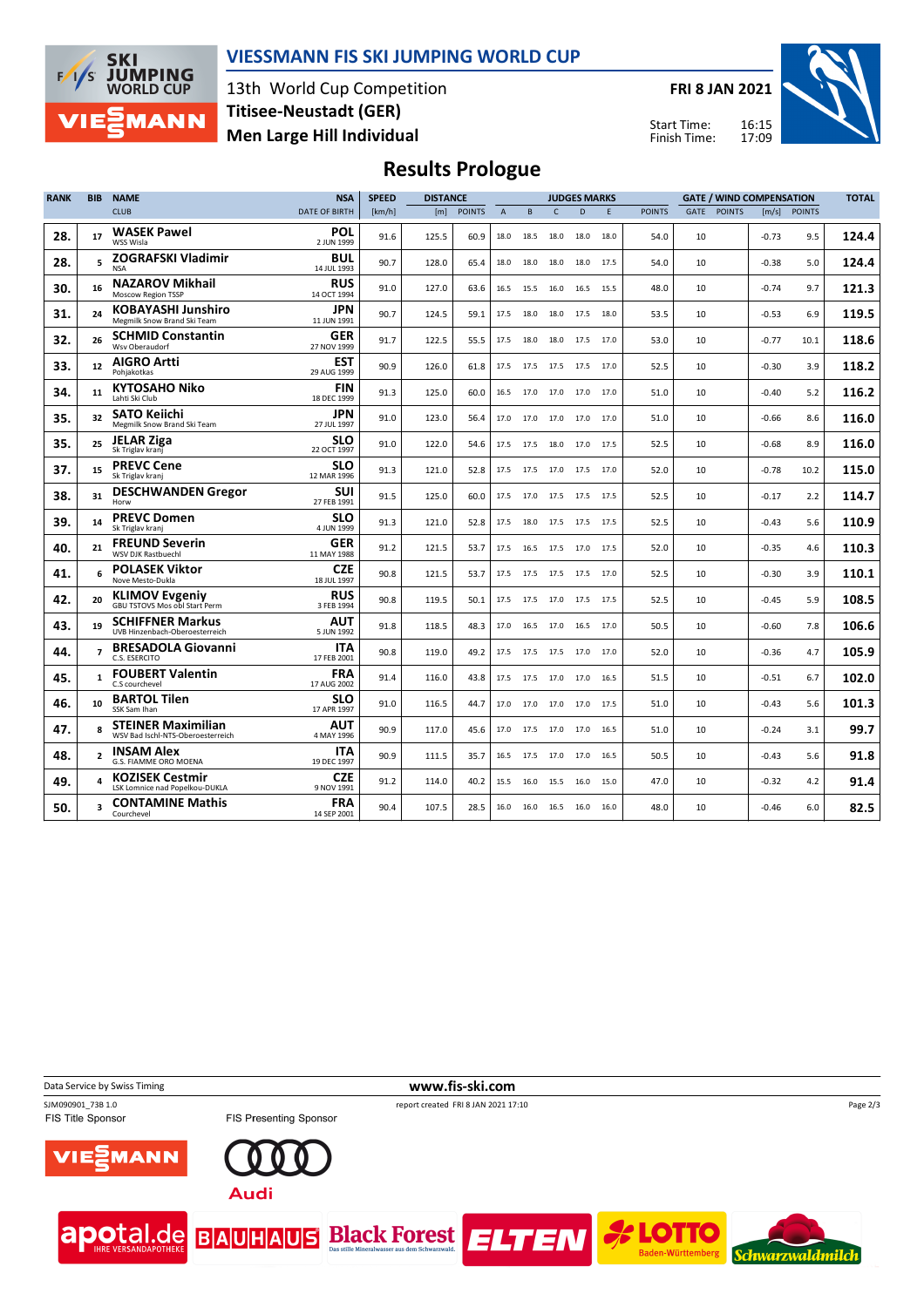

### **VIESSMANN FIS SKI JUMPING WORLD CUP**

13th World Cup Competition **Men Large Hill Individual Titisee-Neustadt (GER)**

**FRI 8 JAN 2021**

Start Time: Finish Time:



# **Results Prologue**

| <b>RANK</b> | <b>BIB</b>               | <b>NAME</b>                                                    | <b>NSA</b>                | <b>SPEED</b> | <b>DISTANCE</b> |               |                |      |            | <b>JUDGES MARKS</b> |      |               | <b>GATE / WIND COMPENSATION</b> |               |         |               | <b>TOTAL</b> |  |
|-------------|--------------------------|----------------------------------------------------------------|---------------------------|--------------|-----------------|---------------|----------------|------|------------|---------------------|------|---------------|---------------------------------|---------------|---------|---------------|--------------|--|
|             |                          | <b>CLUB</b>                                                    | <b>DATE OF BIRTH</b>      | [km/h]       | [m]             | <b>POINTS</b> | $\overline{A}$ | B    | $\epsilon$ | D                   | F    | <b>POINTS</b> | <b>GATE</b>                     | <b>POINTS</b> | [m/s]   | <b>POINTS</b> |              |  |
| 28.         | 17                       | <b>WASEK Pawel</b><br>WSS Wisla                                | <b>POL</b><br>2 JUN 1999  | 91.6         | 125.5           | 60.9          | 18.0           | 18.5 | 18.0       | 18.0                | 18.0 | 54.0          | 10                              |               | $-0.73$ | 9.5           | 124.4        |  |
| 28.         |                          | <b>ZOGRAFSKI Vladimir</b><br><b>NSA</b>                        | <b>BUL</b><br>14 JUL 1993 | 90.7         | 128.0           | 65.4          | 18.0           | 18.0 | 18.0       | 18.0                | 17.5 | 54.0          | 10                              |               | $-0.38$ | 5.0           | 124.4        |  |
| 30.         | 16                       | <b>NAZAROV Mikhail</b><br>Moscow Region TSSP                   | <b>RUS</b><br>14 OCT 1994 | 91.0         | 127.0           | 63.6          | 16.5           | 15.5 | 16.0       | 16.5                | 15.5 | 48.0          | 10                              |               | $-0.74$ | 9.7           | 121.3        |  |
| 31.         | 24                       | <b>KOBAYASHI Junshiro</b><br>Megmilk Snow Brand Ski Team       | <b>JPN</b><br>11 JUN 1991 | 90.7         | 124.5           | 59.1          | 17.5           | 18.0 | 18.0       | 17.5                | 18.0 | 53.5          | 10                              |               | $-0.53$ | 6.9           | 119.5        |  |
| 32.         | 26                       | <b>SCHMID Constantin</b><br>Wsv Oberaudorf                     | <b>GER</b><br>27 NOV 1999 | 91.7         | 122.5           | 55.5          | 17.5           | 18.0 | 18.0       | 17.5                | 17.0 | 53.0          | 10                              |               | $-0.77$ | 10.1          | 118.6        |  |
| 33.         | 12                       | <b>AIGRO Artti</b><br>Pohiakotkas                              | EST<br>29 AUG 1999        | 90.9         | 126.0           | 61.8          | 17.5           | 17.5 | 17.5       | 17.5                | 17.0 | 52.5          | 10                              |               | $-0.30$ | 3.9           | 118.2        |  |
| 34.         | 11                       | <b>KYTOSAHO Niko</b><br>Lahti Ski Club                         | <b>FIN</b><br>18 DEC 1999 | 91.3         | 125.0           | 60.0          | 16.5           | 17.0 | 17.0       | 17.0                | 17.0 | 51.0          | 10                              |               | $-0.40$ | 5.2           | 116.2        |  |
| 35.         | 32                       | <b>SATO Keiichi</b><br>Megmilk Snow Brand Ski Team             | JPN<br>27 JUL 1997        | 91.0         | 123.0           | 56.4          | 17.0           | 17.0 | 17.0       | 17.0                | 17.0 | 51.0          | 10                              |               | $-0.66$ | 8.6           | 116.0        |  |
| 35.         | 25                       | <b>JELAR Ziga</b><br>Sk Triglav kranj                          | <b>SLO</b><br>22 OCT 1997 | 91.0         | 122.0           | 54.6          | 17.5           | 17.5 | 18.0       | 17.0                | 17.5 | 52.5          | 10                              |               | $-0.68$ | 8.9           | 116.0        |  |
| 37.         | 15                       | <b>PREVC Cene</b><br>Sk Triglav kranj                          | slo<br>12 MAR 1996        | 91.3         | 121.0           | 52.8          | 17.5           |      |            | 17.5 17.0 17.5 17.0 |      | 52.0          | 10                              |               | $-0.78$ | 10.2          | 115.0        |  |
| 38.         | 31                       | <b>DESCHWANDEN Gregor</b><br>Horw                              | <b>SUI</b><br>27 FEB 1991 | 91.5         | 125.0           | 60.0          | 17.5           | 17.0 | 17.5 17.5  |                     | 17.5 | 52.5          | 10                              |               | $-0.17$ | 2.2           | 114.7        |  |
| 39.         | 14                       | <b>PREVC Domen</b><br>Sk Triglav kranj                         | slo<br>4 JUN 1999         | 91.3         | 121.0           | 52.8          | 17.5           |      |            | 18.0 17.5 17.5 17.5 |      | 52.5          | 10                              |               | $-0.43$ | 5.6           | 110.9        |  |
| 40.         | 21                       | <b>FREUND Severin</b><br><b>WSV DJK Rastbuechl</b>             | <b>GER</b><br>11 MAY 1988 | 91.2         | 121.5           | 53.7          | 17.5           | 16.5 | 17.5       | 17.0                | 17.5 | 52.0          | 10                              |               | $-0.35$ | 4.6           | 110.3        |  |
| 41.         |                          | <b>POLASEK Viktor</b><br>Nove Mesto-Dukla                      | <b>CZE</b><br>18 JUL 1997 | 90.8         | 121.5           | 53.7          | 17.5           | 17.5 | 17.5       | 17.5                | 17.0 | 52.5          | 10                              |               | $-0.30$ | 3.9           | 110.1        |  |
| 42.         | 20                       | <b>KLIMOV Evgeniy</b><br><b>GBU TSTOVS Mos obl Start Perm</b>  | <b>RUS</b><br>3 FEB 1994  | 90.8         | 119.5           | 50.1          | 17.5           | 17.5 | 17.0       | 17.5                | 17.5 | 52.5          | 10                              |               | $-0.45$ | 5.9           | 108.5        |  |
| 43.         | 19                       | <b>SCHIFFNER Markus</b><br>UVB Hinzenbach-Oberoesterreich      | <b>AUT</b><br>5 JUN 1992  | 91.8         | 118.5           | 48.3          | 17.0           | 16.5 | 17.0       | 16.5                | 17.0 | 50.5          | 10                              |               | $-0.60$ | 7.8           | 106.6        |  |
| 44.         | $\overline{7}$           | <b>BRESADOLA Giovanni</b><br>C.S. ESERCITO                     | <b>ITA</b><br>17 FEB 2001 | 90.8         | 119.0           | 49.2          | 17.5           | 17.5 | 17.5       | 17.0                | 17.0 | 52.0          | 10                              |               | $-0.36$ | 4.7           | 105.9        |  |
| 45.         | $\mathbf{1}$             | <b>FOUBERT Valentin</b><br>C.S courchevel                      | <b>FRA</b><br>17 AUG 2002 | 91.4         | 116.0           | 43.8          | 17.5           | 17.5 | 17.0       | 17.0                | 16.5 | 51.5          | 10                              |               | $-0.51$ | 6.7           | 102.0        |  |
| 46.         | 10                       | <b>BARTOL Tilen</b><br>SSK Sam Ihan                            | SLO<br>17 APR 1997        | 91.0         | 116.5           | 44.7          | 17.0           | 17.0 | 17.0       | 17.0                | 17.5 | 51.0          | 10                              |               | $-0.43$ | 5.6           | 101.3        |  |
| 47.         | 8                        | <b>STEINER Maximilian</b><br>WSV Bad Ischl-NTS-Oberoesterreich | <b>AUT</b><br>4 MAY 1996  | 90.9         | 117.0           | 45.6          | 17.0           | 17.5 | 17.0       | 17.0                | 16.5 | 51.0          | 10                              |               | $-0.24$ | 3.1           | 99.7         |  |
| 48.         | $\overline{\phantom{a}}$ | <b>INSAM Alex</b><br>G.S. FIAMME ORO MOENA                     | <b>ITA</b><br>19 DEC 1997 | 90.9         | 111.5           | 35.7          | 16.5           | 17.5 |            | 17.0 17.0 16.5      |      | 50.5          | 10                              |               | $-0.43$ | 5.6           | 91.8         |  |
| 49.         |                          | <b>KOZISEK Cestmir</b><br>LSK Lomnice nad Popelkou-DUKLA       | <b>CZE</b><br>9 NOV 1991  | 91.2         | 114.0           | 40.2          | 15.5           | 16.0 | 15.5       | 16.0                | 15.0 | 47.0          | 10                              |               | $-0.32$ | 4.2           | 91.4         |  |
| 50.         |                          | <b>CONTAMINE Mathis</b><br>Courchevel                          | <b>FRA</b><br>14 SEP 2001 | 90.4         | 107.5           | 28.5          | 16.0           |      |            | 16.0 16.5 16.0 16.0 |      | 48.0          | 10                              |               | $-0.46$ | 6.0           | 82.5         |  |

Data Service by Swiss Timing **www.fis-ski.com** 

SJM090901\_73B 1.0 report created FRI 8 JAN 2021 17:10<br>FIS Title Sponsor FIS Presenting Sponsor report created FRI 8 JAN 2021 17:10







**Schwarzwaldmilch** 

Page 2/3